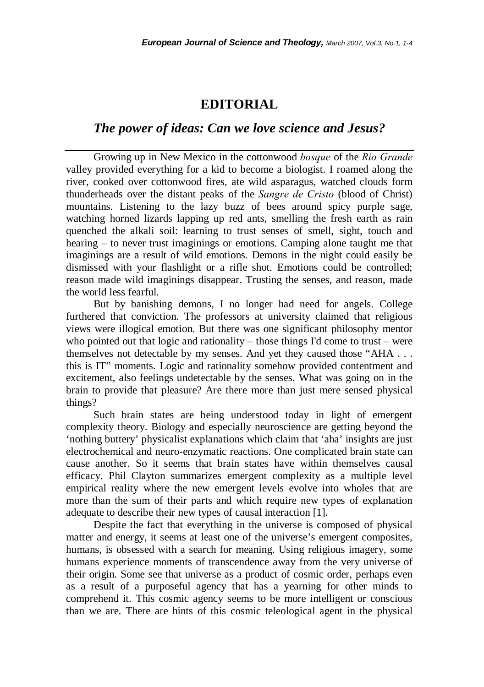## **EDITORIAL**

## *The power of ideas: Can we love science and Jesus?*

Growing up in New Mexico in the cottonwood *bosque* of the *Rio Grande* valley provided everything for a kid to become a biologist. I roamed along the river, cooked over cottonwood fires, ate wild asparagus, watched clouds form thunderheads over the distant peaks of the *Sangre de Cristo* (blood of Christ) mountains. Listening to the lazy buzz of bees around spicy purple sage, watching horned lizards lapping up red ants, smelling the fresh earth as rain quenched the alkali soil: learning to trust senses of smell, sight, touch and hearing – to never trust imaginings or emotions. Camping alone taught me that imaginings are a result of wild emotions. Demons in the night could easily be dismissed with your flashlight or a rifle shot. Emotions could be controlled; reason made wild imaginings disappear. Trusting the senses, and reason, made the world less fearful.

But by banishing demons, I no longer had need for angels. College furthered that conviction. The professors at university claimed that religious views were illogical emotion. But there was one significant philosophy mentor who pointed out that logic and rationality – those things I'd come to trust – were themselves not detectable by my senses. And yet they caused those "AHA . . . this is IT" moments. Logic and rationality somehow provided contentment and excitement, also feelings undetectable by the senses. What was going on in the brain to provide that pleasure? Are there more than just mere sensed physical things?

Such brain states are being understood today in light of emergent complexity theory. Biology and especially neuroscience are getting beyond the 'nothing buttery' physicalist explanations which claim that 'aha' insights are just electrochemical and neuro-enzymatic reactions. One complicated brain state can cause another. So it seems that brain states have within themselves causal efficacy. Phil Clayton summarizes emergent complexity as a multiple level empirical reality where the new emergent levels evolve into wholes that are more than the sum of their parts and which require new types of explanation adequate to describe their new types of causal interaction [1].

Despite the fact that everything in the universe is composed of physical matter and energy, it seems at least one of the universe's emergent composites, humans, is obsessed with a search for meaning. Using religious imagery, some humans experience moments of transcendence away from the very universe of their origin. Some see that universe as a product of cosmic order, perhaps even as a result of a purposeful agency that has a yearning for other minds to comprehend it. This cosmic agency seems to be more intelligent or conscious than we are. There are hints of this cosmic teleological agent in the physical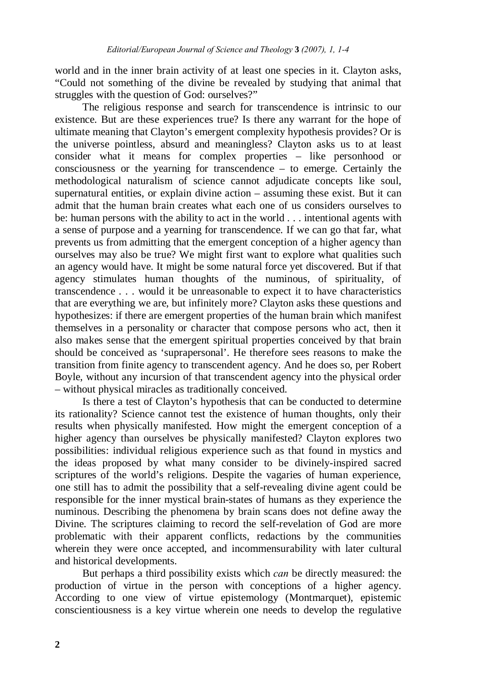world and in the inner brain activity of at least one species in it. Clayton asks, "Could not something of the divine be revealed by studying that animal that struggles with the question of God: ourselves?"

The religious response and search for transcendence is intrinsic to our existence. But are these experiences true? Is there any warrant for the hope of ultimate meaning that Clayton's emergent complexity hypothesis provides? Or is the universe pointless, absurd and meaningless? Clayton asks us to at least consider what it means for complex properties – like personhood or consciousness or the yearning for transcendence – to emerge. Certainly the methodological naturalism of science cannot adjudicate concepts like soul, supernatural entities, or explain divine action – assuming these exist. But it can admit that the human brain creates what each one of us considers ourselves to be: human persons with the ability to act in the world . . . intentional agents with a sense of purpose and a yearning for transcendence. If we can go that far, what prevents us from admitting that the emergent conception of a higher agency than ourselves may also be true? We might first want to explore what qualities such an agency would have. It might be some natural force yet discovered. But if that agency stimulates human thoughts of the numinous, of spirituality, of transcendence . . . would it be unreasonable to expect it to have characteristics that are everything we are, but infinitely more? Clayton asks these questions and hypothesizes: if there are emergent properties of the human brain which manifest themselves in a personality or character that compose persons who act, then it also makes sense that the emergent spiritual properties conceived by that brain should be conceived as 'suprapersonal'. He therefore sees reasons to make the transition from finite agency to transcendent agency. And he does so, per Robert Boyle, without any incursion of that transcendent agency into the physical order – without physical miracles as traditionally conceived.

Is there a test of Clayton's hypothesis that can be conducted to determine its rationality? Science cannot test the existence of human thoughts, only their results when physically manifested. How might the emergent conception of a higher agency than ourselves be physically manifested? Clayton explores two possibilities: individual religious experience such as that found in mystics and the ideas proposed by what many consider to be divinely-inspired sacred scriptures of the world's religions. Despite the vagaries of human experience, one still has to admit the possibility that a self-revealing divine agent could be responsible for the inner mystical brain-states of humans as they experience the numinous. Describing the phenomena by brain scans does not define away the Divine. The scriptures claiming to record the self-revelation of God are more problematic with their apparent conflicts, redactions by the communities wherein they were once accepted, and incommensurability with later cultural and historical developments.

But perhaps a third possibility exists which *can* be directly measured: the production of virtue in the person with conceptions of a higher agency. According to one view of virtue epistemology (Montmarquet), epistemic conscientiousness is a key virtue wherein one needs to develop the regulative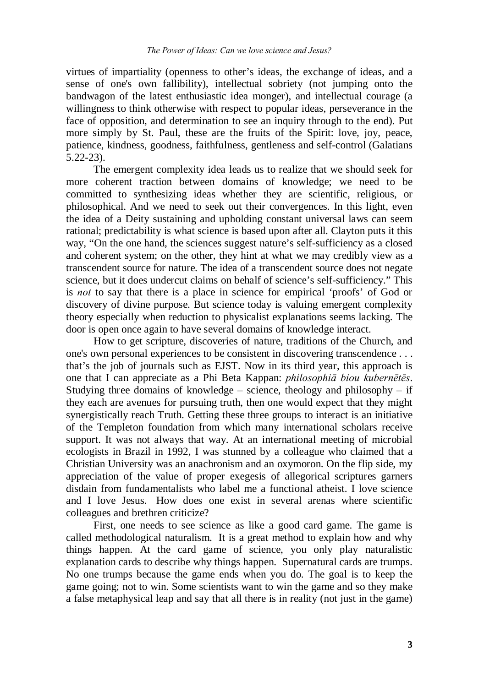virtues of impartiality (openness to other's ideas, the exchange of ideas, and a sense of one's own fallibility), intellectual sobriety (not jumping onto the bandwagon of the latest enthusiastic idea monger), and intellectual courage (a willingness to think otherwise with respect to popular ideas, perseverance in the face of opposition, and determination to see an inquiry through to the end). Put more simply by St. Paul, these are the fruits of the Spirit: love, joy, peace, patience, kindness, goodness, faithfulness, gentleness and self-control (Galatians 5.22-23).

The emergent complexity idea leads us to realize that we should seek for more coherent traction between domains of knowledge; we need to be committed to synthesizing ideas whether they are scientific, religious, or philosophical. And we need to seek out their convergences. In this light, even the idea of a Deity sustaining and upholding constant universal laws can seem rational; predictability is what science is based upon after all. Clayton puts it this way, "On the one hand, the sciences suggest nature's self-sufficiency as a closed and coherent system; on the other, they hint at what we may credibly view as a transcendent source for nature. The idea of a transcendent source does not negate science, but it does undercut claims on behalf of science's self-sufficiency." This is *not* to say that there is a place in science for empirical 'proofs' of God or discovery of divine purpose. But science today is valuing emergent complexity theory especially when reduction to physicalist explanations seems lacking. The door is open once again to have several domains of knowledge interact.

How to get scripture, discoveries of nature, traditions of the Church, and one's own personal experiences to be consistent in discovering transcendence . . . that's the job of journals such as EJST. Now in its third year, this approach is one that I can appreciate as a Phi Beta Kappan: *philosophiā biou kubernētēs*. Studying three domains of knowledge – science, theology and philosophy – if they each are avenues for pursuing truth, then one would expect that they might synergistically reach Truth. Getting these three groups to interact is an initiative of the Templeton foundation from which many international scholars receive support. It was not always that way. At an international meeting of microbial ecologists in Brazil in 1992, I was stunned by a colleague who claimed that a Christian University was an anachronism and an oxymoron. On the flip side, my appreciation of the value of proper exegesis of allegorical scriptures garners disdain from fundamentalists who label me a functional atheist. I love science and I love Jesus. How does one exist in several arenas where scientific colleagues and brethren criticize?

First, one needs to see science as like a good card game. The game is called methodological naturalism. It is a great method to explain how and why things happen. At the card game of science, you only play naturalistic explanation cards to describe why things happen. Supernatural cards are trumps. No one trumps because the game ends when you do. The goal is to keep the game going; not to win. Some scientists want to win the game and so they make a false metaphysical leap and say that all there is in reality (not just in the game)